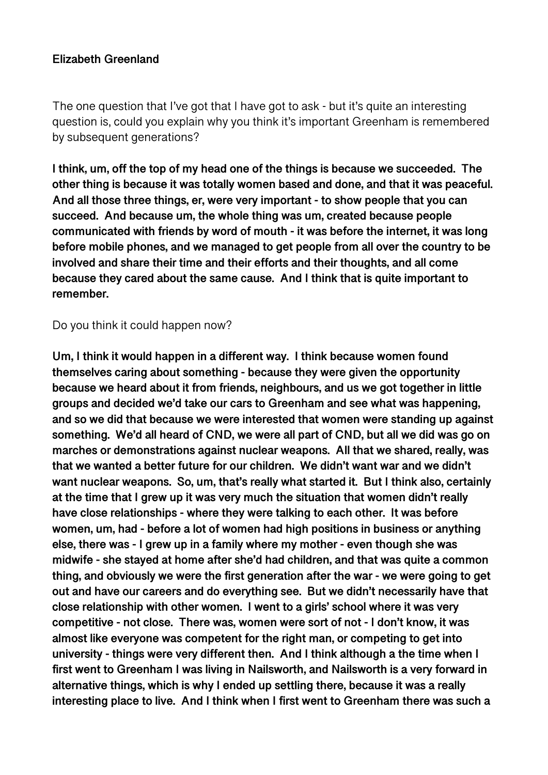#### **Elizabeth Greenland**

The one question that I've got that I have got to ask - but it's quite an interesting question is, could you explain why you think it's important Greenham is remembered by subsequent generations?

**I think, um, off the top of my head one of the things is because we succeeded. The other thing is because it was totally women based and done, and that it was peaceful. And all those three things, er, were very important - to show people that you can succeed. And because um, the whole thing was um, created because people communicated with friends by word of mouth - it was before the internet, it was long before mobile phones, and we managed to get people from all over the country to be involved and share their time and their efforts and their thoughts, and all come because they cared about the same cause. And I think that is quite important to remember.** 

Do you think it could happen now?

**Um, I think it would happen in a different way. I think because women found themselves caring about something - because they were given the opportunity because we heard about it from friends, neighbours, and us we got together in little groups and decided we'd take our cars to Greenham and see what was happening, and so we did that because we were interested that women were standing up against something. We'd all heard of CND, we were all part of CND, but all we did was go on marches or demonstrations against nuclear weapons. All that we shared, really, was that we wanted a better future for our children. We didn't want war and we didn't want nuclear weapons. So, um, that's really what started it. But I think also, certainly at the time that I grew up it was very much the situation that women didn't really have close relationships - where they were talking to each other. It was before women, um, had - before a lot of women had high positions in business or anything else, there was - I grew up in a family where my mother - even though she was midwife - she stayed at home after she'd had children, and that was quite a common thing, and obviously we were the first generation after the war - we were going to get out and have our careers and do everything see. But we didn't necessarily have that close relationship with other women. I went to a girls' school where it was very competitive - not close. There was, women were sort of not - I don't know, it was almost like everyone was competent for the right man, or competing to get into university - things were very different then. And I think although a the time when I first went to Greenham I was living in Nailsworth, and Nailsworth is a very forward in alternative things, which is why I ended up settling there, because it was a really interesting place to live. And I think when I first went to Greenham there was such a**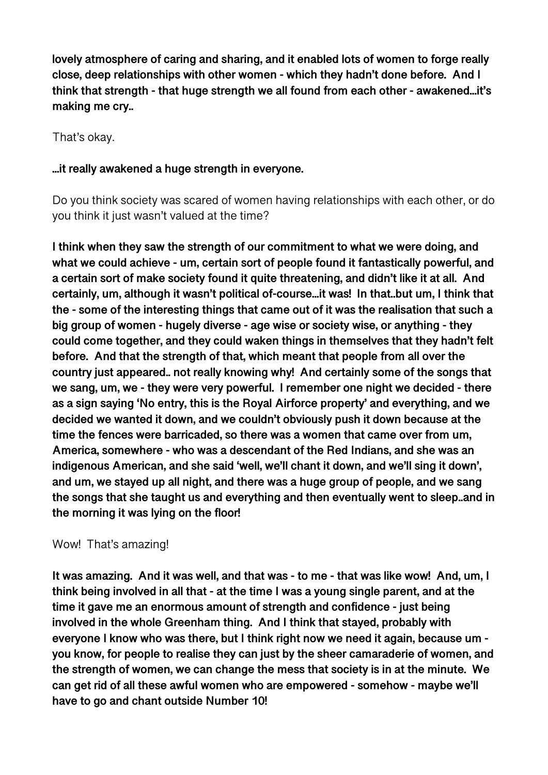**lovely atmosphere of caring and sharing, and it enabled lots of women to forge really close, deep relationships with other women - which they hadn't done before. And I think that strength - that huge strength we all found from each other - awakened...it's making me cry..** 

That's okay.

#### **...it really awakened a huge strength in everyone.**

Do you think society was scared of women having relationships with each other, or do you think it just wasn't valued at the time?

**I think when they saw the strength of our commitment to what we were doing, and what we could achieve - um, certain sort of people found it fantastically powerful, and a certain sort of make society found it quite threatening, and didn't like it at all. And certainly, um, although it wasn't political of-course...it was! In that..but um, I think that the - some of the interesting things that came out of it was the realisation that such a big group of women - hugely diverse - age wise or society wise, or anything - they could come together, and they could waken things in themselves that they hadn't felt before. And that the strength of that, which meant that people from all over the country just appeared.. not really knowing why! And certainly some of the songs that we sang, um, we - they were very powerful. I remember one night we decided - there as a sign saying 'No entry, this is the Royal Airforce property' and everything, and we decided we wanted it down, and we couldn't obviously push it down because at the time the fences were barricaded, so there was a women that came over from um, America, somewhere - who was a descendant of the Red Indians, and she was an indigenous American, and she said 'well, we'll chant it down, and we'll sing it down', and um, we stayed up all night, and there was a huge group of people, and we sang the songs that she taught us and everything and then eventually went to sleep..and in the morning it was lying on the floor!** 

#### Wow! That's amazing!

**It was amazing. And it was well, and that was - to me - that was like wow! And, um, I think being involved in all that - at the time I was a young single parent, and at the time it gave me an enormous amount of strength and confidence - just being involved in the whole Greenham thing. And I think that stayed, probably with everyone I know who was there, but I think right now we need it again, because um you know, for people to realise they can just by the sheer camaraderie of women, and the strength of women, we can change the mess that society is in at the minute. We can get rid of all these awful women who are empowered - somehow - maybe we'll have to go and chant outside Number 10!**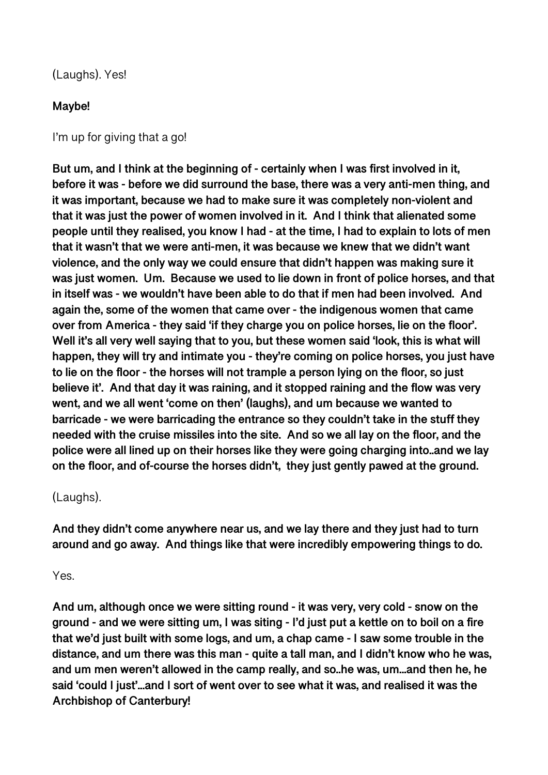#### (Laughs). Yes!

#### **Maybe!**

I'm up for giving that a go!

**But um, and I think at the beginning of - certainly when I was first involved in it, before it was - before we did surround the base, there was a very anti-men thing, and it was important, because we had to make sure it was completely non-violent and that it was just the power of women involved in it. And I think that alienated some people until they realised, you know I had - at the time, I had to explain to lots of men that it wasn't that we were anti-men, it was because we knew that we didn't want violence, and the only way we could ensure that didn't happen was making sure it was just women. Um. Because we used to lie down in front of police horses, and that in itself was - we wouldn't have been able to do that if men had been involved. And again the, some of the women that came over - the indigenous women that came over from America - they said 'if they charge you on police horses, lie on the floor'. Well it's all very well saying that to you, but these women said 'look, this is what will happen, they will try and intimate you - they're coming on police horses, you just have to lie on the floor - the horses will not trample a person lying on the floor, so just believe it'. And that day it was raining, and it stopped raining and the flow was very went, and we all went 'come on then' (laughs), and um because we wanted to barricade - we were barricading the entrance so they couldn't take in the stuff they needed with the cruise missiles into the site. And so we all lay on the floor, and the police were all lined up on their horses like they were going charging into..and we lay on the floor, and of-course the horses didn't, they just gently pawed at the ground.** 

#### (Laughs).

**And they didn't come anywhere near us, and we lay there and they just had to turn around and go away. And things like that were incredibly empowering things to do.** 

#### Yes.

**And um, although once we were sitting round - it was very, very cold - snow on the ground - and we were sitting um, I was siting - I'd just put a kettle on to boil on a fire that we'd just built with some logs, and um, a chap came - I saw some trouble in the distance, and um there was this man - quite a tall man, and I didn't know who he was, and um men weren't allowed in the camp really, and so..he was, um...and then he, he said 'could I just'...and I sort of went over to see what it was, and realised it was the Archbishop of Canterbury!**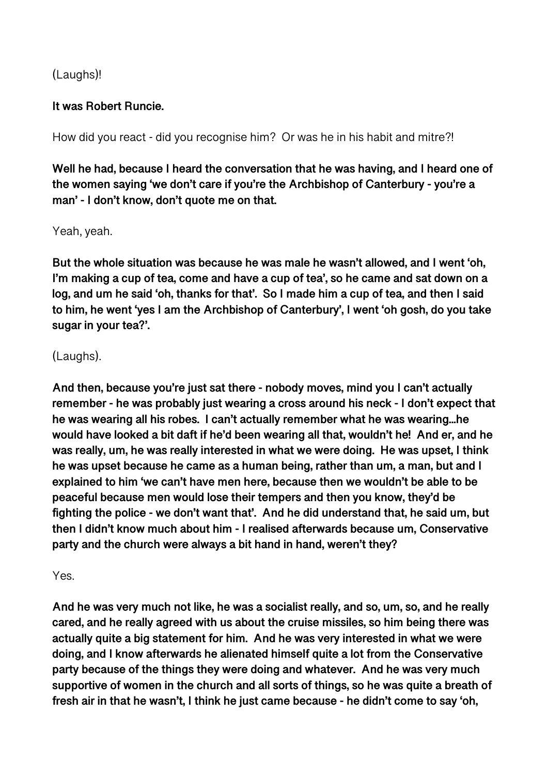# (Laughs)!

#### **It was Robert Runcie.**

How did you react - did you recognise him? Or was he in his habit and mitre?!

**Well he had, because I heard the conversation that he was having, and I heard one of the women saying 'we don't care if you're the Archbishop of Canterbury - you're a man' - I don't know, don't quote me on that.** 

#### Yeah, yeah.

**But the whole situation was because he was male he wasn't allowed, and I went 'oh, I'm making a cup of tea, come and have a cup of tea', so he came and sat down on a log, and um he said 'oh, thanks for that'. So I made him a cup of tea, and then I said to him, he went 'yes I am the Archbishop of Canterbury', I went 'oh gosh, do you take sugar in your tea?'.** 

#### (Laughs).

**And then, because you're just sat there - nobody moves, mind you I can't actually remember - he was probably just wearing a cross around his neck - I don't expect that he was wearing all his robes. I can't actually remember what he was wearing...he would have looked a bit daft if he'd been wearing all that, wouldn't he! And er, and he was really, um, he was really interested in what we were doing. He was upset, I think he was upset because he came as a human being, rather than um, a man, but and I explained to him 'we can't have men here, because then we wouldn't be able to be peaceful because men would lose their tempers and then you know, they'd be fighting the police - we don't want that'. And he did understand that, he said um, but then I didn't know much about him - I realised afterwards because um, Conservative party and the church were always a bit hand in hand, weren't they?** 

Yes.

**And he was very much not like, he was a socialist really, and so, um, so, and he really cared, and he really agreed with us about the cruise missiles, so him being there was actually quite a big statement for him. And he was very interested in what we were doing, and I know afterwards he alienated himself quite a lot from the Conservative party because of the things they were doing and whatever. And he was very much supportive of women in the church and all sorts of things, so he was quite a breath of fresh air in that he wasn't, I think he just came because - he didn't come to say 'oh,**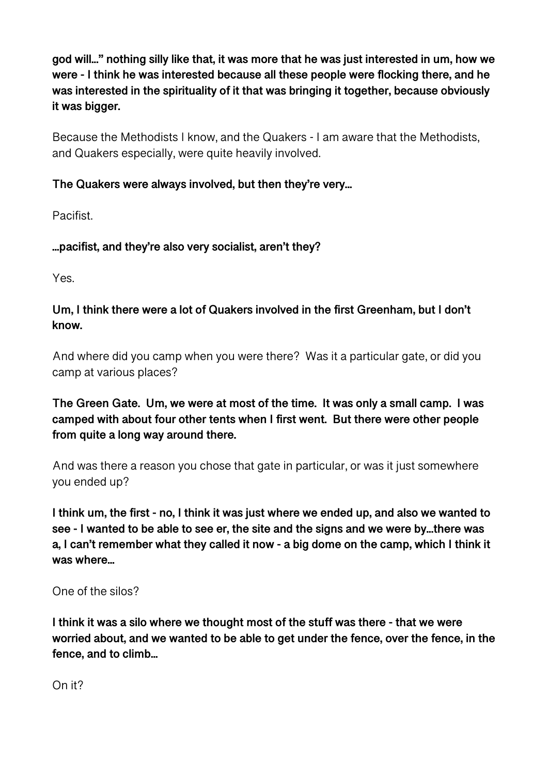**god will...'' nothing silly like that, it was more that he was just interested in um, how we were - I think he was interested because all these people were flocking there, and he was interested in the spirituality of it that was bringing it together, because obviously it was bigger.** 

Because the Methodists I know, and the Quakers - I am aware that the Methodists, and Quakers especially, were quite heavily involved.

# **The Quakers were always involved, but then they're very...**

Pacifist.

**...pacifist, and they're also very socialist, aren't they?** 

Yes.

# **Um, I think there were a lot of Quakers involved in the first Greenham, but I don't know.**

And where did you camp when you were there? Was it a particular gate, or did you camp at various places?

**The Green Gate. Um, we were at most of the time. It was only a small camp. I was camped with about four other tents when I first went. But there were other people from quite a long way around there.** 

And was there a reason you chose that gate in particular, or was it just somewhere you ended up?

**I think um, the first - no, I think it was just where we ended up, and also we wanted to see - I wanted to be able to see er, the site and the signs and we were by...there was a, I can't remember what they called it now - a big dome on the camp, which I think it was where...** 

One of the silos?

**I think it was a silo where we thought most of the stuff was there - that we were worried about, and we wanted to be able to get under the fence, over the fence, in the fence, and to climb...** 

On it?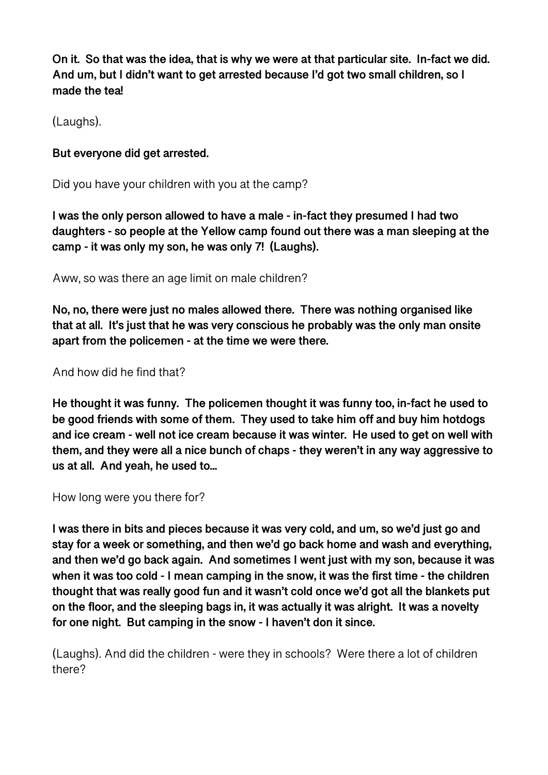**On it. So that was the idea, that is why we were at that particular site. In-fact we did. And um, but I didn't want to get arrested because I'd got two small children, so I made the tea!** 

(Laughs).

#### **But everyone did get arrested.**

Did you have your children with you at the camp?

**I was the only person allowed to have a male - in-fact they presumed I had two daughters - so people at the Yellow camp found out there was a man sleeping at the camp - it was only my son, he was only 7! (Laughs).** 

Aww, so was there an age limit on male children?

**No, no, there were just no males allowed there. There was nothing organised like that at all. It's just that he was very conscious he probably was the only man onsite apart from the policemen - at the time we were there.** 

And how did he find that?

**He thought it was funny. The policemen thought it was funny too, in-fact he used to be good friends with some of them. They used to take him off and buy him hotdogs and ice cream - well not ice cream because it was winter. He used to get on well with them, and they were all a nice bunch of chaps - they weren't in any way aggressive to us at all. And yeah, he used to...** 

How long were you there for?

**I was there in bits and pieces because it was very cold, and um, so we'd just go and stay for a week or something, and then we'd go back home and wash and everything, and then we'd go back again. And sometimes I went just with my son, because it was when it was too cold - I mean camping in the snow, it was the first time - the children thought that was really good fun and it wasn't cold once we'd got all the blankets put on the floor, and the sleeping bags in, it was actually it was alright. It was a novelty for one night. But camping in the snow - I haven't don it since.** 

(Laughs). And did the children - were they in schools? Were there a lot of children there?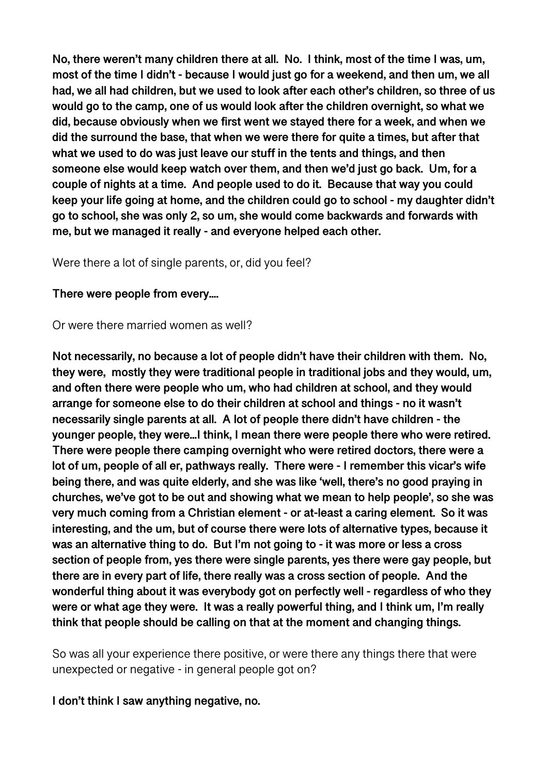**No, there weren't many children there at all. No. I think, most of the time I was, um, most of the time I didn't - because I would just go for a weekend, and then um, we all had, we all had children, but we used to look after each other's children, so three of us would go to the camp, one of us would look after the children overnight, so what we did, because obviously when we first went we stayed there for a week, and when we did the surround the base, that when we were there for quite a times, but after that what we used to do was just leave our stuff in the tents and things, and then someone else would keep watch over them, and then we'd just go back. Um, for a couple of nights at a time. And people used to do it. Because that way you could keep your life going at home, and the children could go to school - my daughter didn't go to school, she was only 2, so um, she would come backwards and forwards with me, but we managed it really - and everyone helped each other.** 

Were there a lot of single parents, or, did you feel?

#### **There were people from every....**

Or were there married women as well?

**Not necessarily, no because a lot of people didn't have their children with them. No, they were, mostly they were traditional people in traditional jobs and they would, um, and often there were people who um, who had children at school, and they would arrange for someone else to do their children at school and things - no it wasn't necessarily single parents at all. A lot of people there didn't have children - the younger people, they were...I think, I mean there were people there who were retired. There were people there camping overnight who were retired doctors, there were a lot of um, people of all er, pathways really. There were - I remember this vicar's wife being there, and was quite elderly, and she was like 'well, there's no good praying in churches, we've got to be out and showing what we mean to help people', so she was very much coming from a Christian element - or at-least a caring element. So it was interesting, and the um, but of course there were lots of alternative types, because it was an alternative thing to do. But I'm not going to - it was more or less a cross section of people from, yes there were single parents, yes there were gay people, but there are in every part of life, there really was a cross section of people. And the wonderful thing about it was everybody got on perfectly well - regardless of who they were or what age they were. It was a really powerful thing, and I think um, I'm really think that people should be calling on that at the moment and changing things.** 

So was all your experience there positive, or were there any things there that were unexpected or negative - in general people got on?

**I don't think I saw anything negative, no.**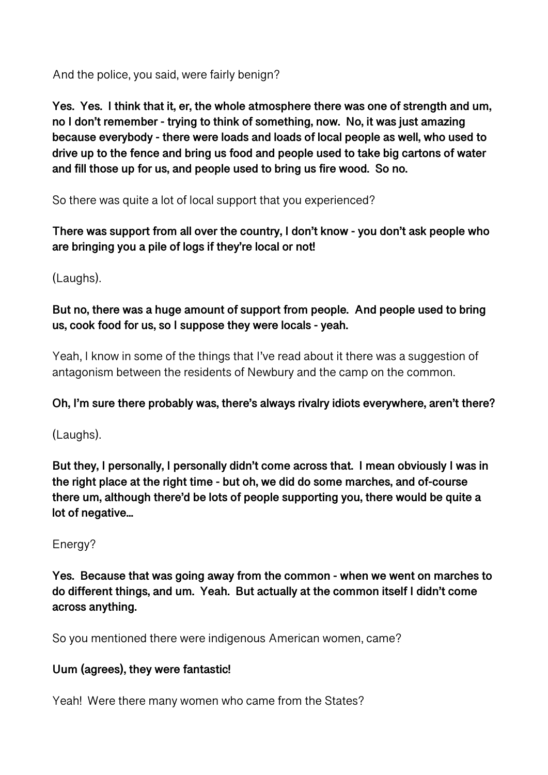And the police, you said, were fairly benign?

**Yes. Yes. I think that it, er, the whole atmosphere there was one of strength and um, no I don't remember - trying to think of something, now. No, it was just amazing because everybody - there were loads and loads of local people as well, who used to drive up to the fence and bring us food and people used to take big cartons of water and fill those up for us, and people used to bring us fire wood. So no.** 

So there was quite a lot of local support that you experienced?

**There was support from all over the country, I don't know - you don't ask people who are bringing you a pile of logs if they're local or not!** 

(Laughs).

**But no, there was a huge amount of support from people. And people used to bring us, cook food for us, so I suppose they were locals - yeah.** 

Yeah, I know in some of the things that I've read about it there was a suggestion of antagonism between the residents of Newbury and the camp on the common.

# **Oh, I'm sure there probably was, there's always rivalry idiots everywhere, aren't there?**

(Laughs).

**But they, I personally, I personally didn't come across that. I mean obviously I was in the right place at the right time - but oh, we did do some marches, and of-course there um, although there'd be lots of people supporting you, there would be quite a lot of negative...** 

Energy?

**Yes. Because that was going away from the common - when we went on marches to do different things, and um. Yeah. But actually at the common itself I didn't come across anything.** 

So you mentioned there were indigenous American women, came?

# **Uum (agrees), they were fantastic!**

Yeah! Were there many women who came from the States?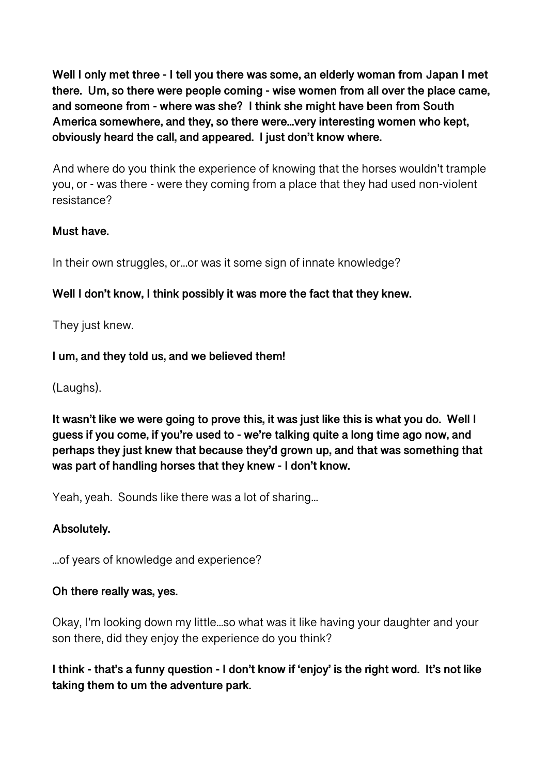**Well I only met three - I tell you there was some, an elderly woman from Japan I met there. Um, so there were people coming - wise women from all over the place came, and someone from - where was she? I think she might have been from South America somewhere, and they, so there were...very interesting women who kept, obviously heard the call, and appeared. I just don't know where.** 

And where do you think the experience of knowing that the horses wouldn't trample you, or - was there - were they coming from a place that they had used non-violent resistance?

# **Must have.**

In their own struggles, or...or was it some sign of innate knowledge?

# **Well I don't know, I think possibly it was more the fact that they knew.**

They just knew.

# **I um, and they told us, and we believed them!**

(Laughs).

**It wasn't like we were going to prove this, it was just like this is what you do. Well I guess if you come, if you're used to - we're talking quite a long time ago now, and perhaps they just knew that because they'd grown up, and that was something that was part of handling horses that they knew - I don't know.** 

Yeah, yeah. Sounds like there was a lot of sharing...

# **Absolutely.**

...of years of knowledge and experience?

# **Oh there really was, yes.**

Okay, I'm looking down my little...so what was it like having your daughter and your son there, did they enjoy the experience do you think?

**I think - that's a funny question - I don't know if 'enjoy' is the right word. It's not like taking them to um the adventure park.**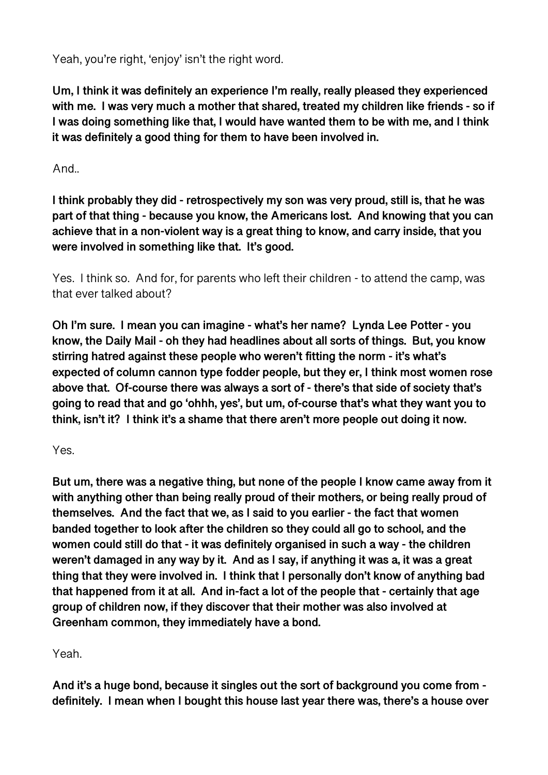Yeah, you're right, 'enjoy' isn't the right word.

**Um, I think it was definitely an experience I'm really, really pleased they experienced with me. I was very much a mother that shared, treated my children like friends - so if I was doing something like that, I would have wanted them to be with me, and I think it was definitely a good thing for them to have been involved in.** 

And..

**I think probably they did - retrospectively my son was very proud, still is, that he was part of that thing - because you know, the Americans lost. And knowing that you can achieve that in a non-violent way is a great thing to know, and carry inside, that you were involved in something like that. It's good.** 

Yes. I think so. And for, for parents who left their children - to attend the camp, was that ever talked about?

**Oh I'm sure. I mean you can imagine - what's her name? Lynda Lee Potter - you know, the Daily Mail - oh they had headlines about all sorts of things. But, you know stirring hatred against these people who weren't fitting the norm - it's what's expected of column cannon type fodder people, but they er, I think most women rose above that. Of-course there was always a sort of - there's that side of society that's going to read that and go 'ohhh, yes', but um, of-course that's what they want you to think, isn't it? I think it's a shame that there aren't more people out doing it now.** 

Yes.

**But um, there was a negative thing, but none of the people I know came away from it with anything other than being really proud of their mothers, or being really proud of themselves. And the fact that we, as I said to you earlier - the fact that women banded together to look after the children so they could all go to school, and the women could still do that - it was definitely organised in such a way - the children weren't damaged in any way by it. And as I say, if anything it was a, it was a great thing that they were involved in. I think that I personally don't know of anything bad that happened from it at all. And in-fact a lot of the people that - certainly that age group of children now, if they discover that their mother was also involved at Greenham common, they immediately have a bond.** 

Yeah.

**And it's a huge bond, because it singles out the sort of background you come from definitely. I mean when I bought this house last year there was, there's a house over**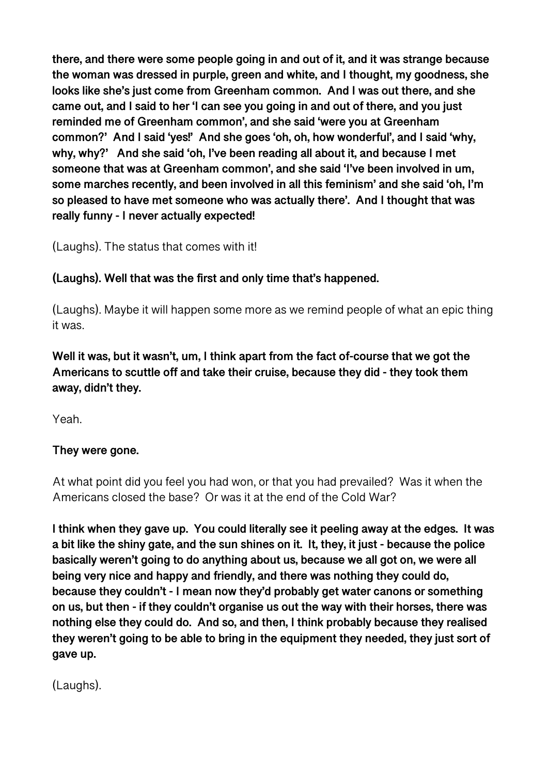**there, and there were some people going in and out of it, and it was strange because the woman was dressed in purple, green and white, and I thought, my goodness, she looks like she's just come from Greenham common. And I was out there, and she came out, and I said to her 'I can see you going in and out of there, and you just reminded me of Greenham common', and she said 'were you at Greenham common?' And I said 'yes!' And she goes 'oh, oh, how wonderful', and I said 'why, why, why?' And she said 'oh, I've been reading all about it, and because I met someone that was at Greenham common', and she said 'I've been involved in um, some marches recently, and been involved in all this feminism' and she said 'oh, I'm so pleased to have met someone who was actually there'. And I thought that was really funny - I never actually expected!** 

(Laughs). The status that comes with it!

# **(Laughs). Well that was the first and only time that's happened.**

(Laughs). Maybe it will happen some more as we remind people of what an epic thing it was.

**Well it was, but it wasn't, um, I think apart from the fact of-course that we got the Americans to scuttle off and take their cruise, because they did - they took them away, didn't they.** 

Yeah.

# **They were gone.**

At what point did you feel you had won, or that you had prevailed? Was it when the Americans closed the base? Or was it at the end of the Cold War?

**I think when they gave up. You could literally see it peeling away at the edges. It was a bit like the shiny gate, and the sun shines on it. It, they, it just - because the police basically weren't going to do anything about us, because we all got on, we were all being very nice and happy and friendly, and there was nothing they could do, because they couldn't - I mean now they'd probably get water canons or something on us, but then - if they couldn't organise us out the way with their horses, there was nothing else they could do. And so, and then, I think probably because they realised they weren't going to be able to bring in the equipment they needed, they just sort of gave up.** 

(Laughs).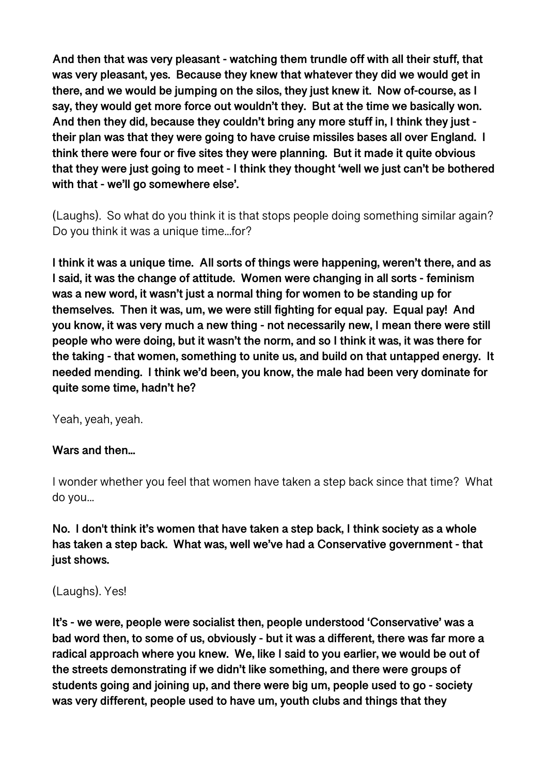**And then that was very pleasant - watching them trundle off with all their stuff, that was very pleasant, yes. Because they knew that whatever they did we would get in there, and we would be jumping on the silos, they just knew it. Now of-course, as I say, they would get more force out wouldn't they. But at the time we basically won. And then they did, because they couldn't bring any more stuff in, I think they just their plan was that they were going to have cruise missiles bases all over England. I think there were four or five sites they were planning. But it made it quite obvious that they were just going to meet - I think they thought 'well we just can't be bothered with that - we'll go somewhere else'.** 

(Laughs). So what do you think it is that stops people doing something similar again? Do you think it was a unique time...for?

**I think it was a unique time. All sorts of things were happening, weren't there, and as I said, it was the change of attitude. Women were changing in all sorts - feminism was a new word, it wasn't just a normal thing for women to be standing up for themselves. Then it was, um, we were still fighting for equal pay. Equal pay! And you know, it was very much a new thing - not necessarily new, I mean there were still people who were doing, but it wasn't the norm, and so I think it was, it was there for the taking - that women, something to unite us, and build on that untapped energy. It needed mending. I think we'd been, you know, the male had been very dominate for quite some time, hadn't he?** 

Yeah, yeah, yeah.

#### **Wars and then...**

I wonder whether you feel that women have taken a step back since that time? What do you...

**No. I don't think it's women that have taken a step back, I think society as a whole has taken a step back. What was, well we've had a Conservative government - that just shows.** 

#### (Laughs). Yes!

**It's - we were, people were socialist then, people understood 'Conservative' was a bad word then, to some of us, obviously - but it was a different, there was far more a radical approach where you knew. We, like I said to you earlier, we would be out of the streets demonstrating if we didn't like something, and there were groups of students going and joining up, and there were big um, people used to go - society was very different, people used to have um, youth clubs and things that they**